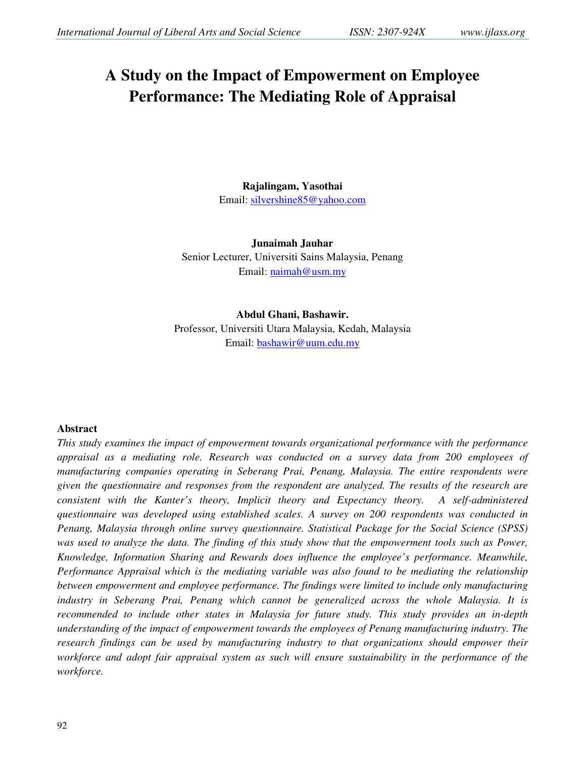# **A Study on the Impact of Empowerment on Employee Performance: The Mediating Role of Appraisal**

**Rajalingam, Yasothai**  Email: silvershine85@yahoo.com

**Junaimah Jauhar**  Senior Lecturer, Universiti Sains Malaysia, Penang Email: naimah@usm.my

# **Abdul Ghani, Bashawir.**

Professor, Universiti Utara Malaysia, Kedah, Malaysia Email: bashawir@uum.edu.my

#### **Abstract**

*This study examines the impact of empowerment towards organizational performance with the performance appraisal as a mediating role. Research was conducted on a survey data from 200 employees of manufacturing companies operating in Seberang Prai, Penang, Malaysia. The entire respondents were given the questionnaire and responses from the respondent are analyzed. The results of the research are consistent with the Kanter's theory, Implicit theory and Expectancy theory. A self-administered questionnaire was developed using established scales. A survey on 200 respondents was conducted in Penang, Malaysia through online survey questionnaire. Statistical Package for the Social Science (SPSS) was used to analyze the data. The finding of this study show that the empowerment tools such as Power, Knowledge, Information Sharing and Rewards does influence the employee's performance. Meanwhile, Performance Appraisal which is the mediating variable was also found to be mediating the relationship between empowerment and employee performance. The findings were limited to include only manufacturing industry in Seberang Prai, Penang which cannot be generalized across the whole Malaysia. It is recommended to include other states in Malaysia for future study. This study provides an in-depth understanding of the impact of empowerment towards the employees of Penang manufacturing industry. The research findings can be used by manufacturing industry to that organizations should empower their workforce and adopt fair appraisal system as such will ensure sustainability in the performance of the workforce.*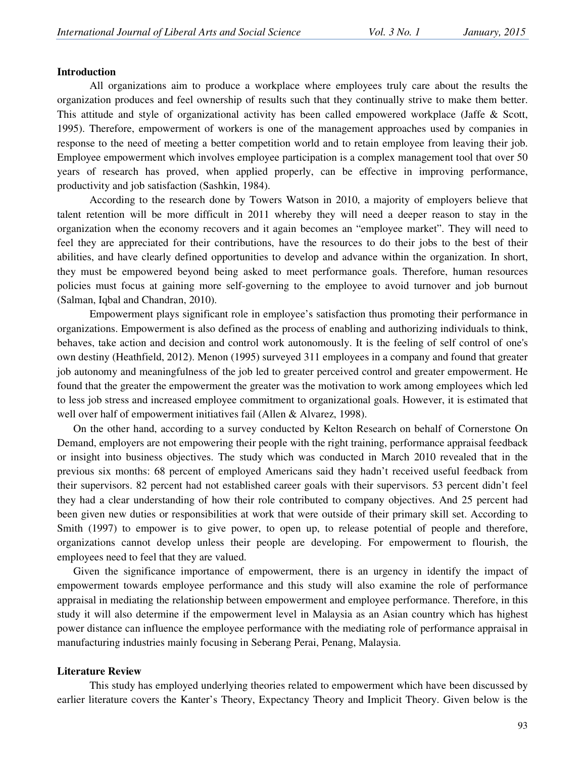#### **Introduction**

All organizations aim to produce a workplace where employees truly care about the results the organization produces and feel ownership of results such that they continually strive to make them better. This attitude and style of organizational activity has been called empowered workplace (Jaffe & Scott, 1995). Therefore, empowerment of workers is one of the management approaches used by companies in response to the need of meeting a better competition world and to retain employee from leaving their job. Employee empowerment which involves employee participation is a complex management tool that over 50 years of research has proved, when applied properly, can be effective in improving performance, productivity and job satisfaction (Sashkin, 1984).

According to the research done by Towers Watson in 2010, a majority of employers believe that talent retention will be more difficult in 2011 whereby they will need a deeper reason to stay in the organization when the economy recovers and it again becomes an "employee market". They will need to feel they are appreciated for their contributions, have the resources to do their jobs to the best of their abilities, and have clearly defined opportunities to develop and advance within the organization. In short, they must be empowered beyond being asked to meet performance goals. Therefore, human resources policies must focus at gaining more self-governing to the employee to avoid turnover and job burnout (Salman, Iqbal and Chandran, 2010).

Empowerment plays significant role in employee's satisfaction thus promoting their performance in organizations. Empowerment is also defined as the process of enabling and authorizing individuals to think, behaves, take action and decision and control work autonomously. It is the feeling of self control of one's own destiny (Heathfield, 2012). Menon (1995) surveyed 311 employees in a company and found that greater job autonomy and meaningfulness of the job led to greater perceived control and greater empowerment. He found that the greater the empowerment the greater was the motivation to work among employees which led to less job stress and increased employee commitment to organizational goals. However, it is estimated that well over half of empowerment initiatives fail (Allen & Alvarez, 1998).

On the other hand, according to a survey conducted by Kelton Research on behalf of Cornerstone On Demand, employers are not empowering their people with the right training, performance appraisal feedback or insight into business objectives. The study which was conducted in March 2010 revealed that in the previous six months: 68 percent of employed Americans said they hadn't received useful feedback from their supervisors. 82 percent had not established career goals with their supervisors. 53 percent didn't feel they had a clear understanding of how their role contributed to company objectives. And 25 percent had been given new duties or responsibilities at work that were outside of their primary skill set. According to Smith (1997) to empower is to give power, to open up, to release potential of people and therefore, organizations cannot develop unless their people are developing. For empowerment to flourish, the employees need to feel that they are valued.

Given the significance importance of empowerment, there is an urgency in identify the impact of empowerment towards employee performance and this study will also examine the role of performance appraisal in mediating the relationship between empowerment and employee performance. Therefore, in this study it will also determine if the empowerment level in Malaysia as an Asian country which has highest power distance can influence the employee performance with the mediating role of performance appraisal in manufacturing industries mainly focusing in Seberang Perai, Penang, Malaysia.

#### **Literature Review**

This study has employed underlying theories related to empowerment which have been discussed by earlier literature covers the Kanter's Theory, Expectancy Theory and Implicit Theory. Given below is the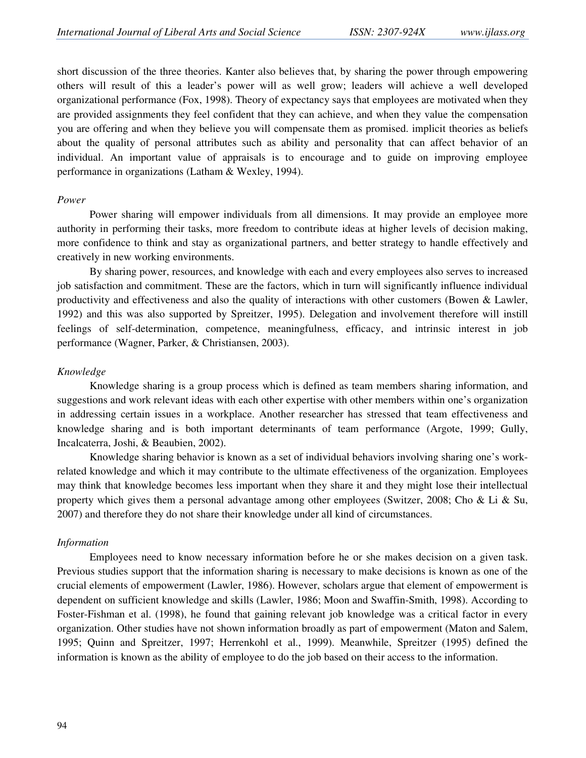short discussion of the three theories. Kanter also believes that, by sharing the power through empowering others will result of this a leader's power will as well grow; leaders will achieve a well developed organizational performance (Fox, 1998). Theory of expectancy says that employees are motivated when they are provided assignments they feel confident that they can achieve, and when they value the compensation you are offering and when they believe you will compensate them as promised. implicit theories as beliefs about the quality of personal attributes such as ability and personality that can affect behavior of an individual. An important value of appraisals is to encourage and to guide on improving employee performance in organizations (Latham & Wexley, 1994).

#### *Power*

Power sharing will empower individuals from all dimensions. It may provide an employee more authority in performing their tasks, more freedom to contribute ideas at higher levels of decision making, more confidence to think and stay as organizational partners, and better strategy to handle effectively and creatively in new working environments.

By sharing power, resources, and knowledge with each and every employees also serves to increased job satisfaction and commitment. These are the factors, which in turn will significantly influence individual productivity and effectiveness and also the quality of interactions with other customers (Bowen & Lawler, 1992) and this was also supported by Spreitzer, 1995). Delegation and involvement therefore will instill feelings of self-determination, competence, meaningfulness, efficacy, and intrinsic interest in job performance (Wagner, Parker, & Christiansen, 2003).

#### *Knowledge*

 Knowledge sharing is a group process which is defined as team members sharing information, and suggestions and work relevant ideas with each other expertise with other members within one's organization in addressing certain issues in a workplace. Another researcher has stressed that team effectiveness and knowledge sharing and is both important determinants of team performance (Argote, 1999; Gully, Incalcaterra, Joshi, & Beaubien, 2002).

Knowledge sharing behavior is known as a set of individual behaviors involving sharing one's workrelated knowledge and which it may contribute to the ultimate effectiveness of the organization. Employees may think that knowledge becomes less important when they share it and they might lose their intellectual property which gives them a personal advantage among other employees (Switzer, 2008; Cho & Li & Su, 2007) and therefore they do not share their knowledge under all kind of circumstances.

#### *Information*

Employees need to know necessary information before he or she makes decision on a given task. Previous studies support that the information sharing is necessary to make decisions is known as one of the crucial elements of empowerment (Lawler, 1986). However, scholars argue that element of empowerment is dependent on sufficient knowledge and skills (Lawler, 1986; Moon and Swaffin-Smith, 1998). According to Foster-Fishman et al. (1998), he found that gaining relevant job knowledge was a critical factor in every organization. Other studies have not shown information broadly as part of empowerment (Maton and Salem, 1995; Quinn and Spreitzer, 1997; Herrenkohl et al., 1999). Meanwhile, Spreitzer (1995) defined the information is known as the ability of employee to do the job based on their access to the information.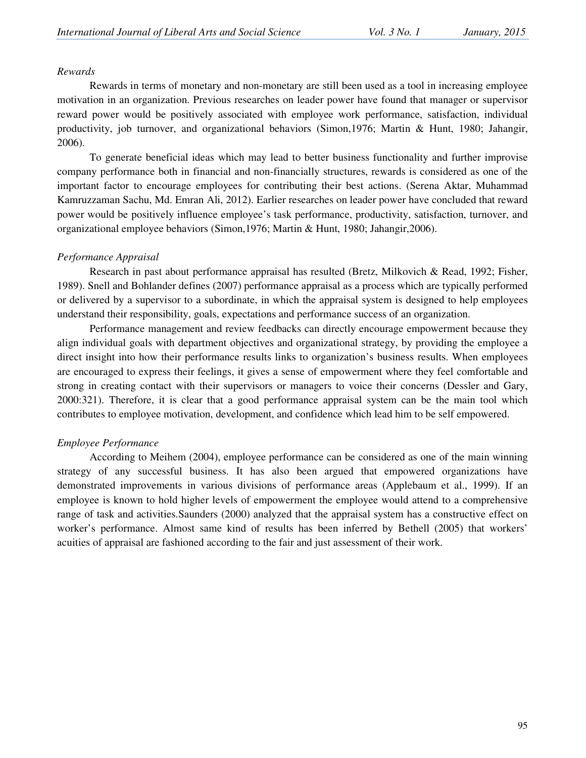#### *Rewards*

Rewards in terms of monetary and non-monetary are still been used as a tool in increasing employee motivation in an organization. Previous researches on leader power have found that manager or supervisor reward power would be positively associated with employee work performance, satisfaction, individual productivity, job turnover, and organizational behaviors (Simon,1976; Martin & Hunt, 1980; Jahangir, 2006).

To generate beneficial ideas which may lead to better business functionality and further improvise company performance both in financial and non-financially structures, rewards is considered as one of the important factor to encourage employees for contributing their best actions. (Serena Aktar, Muhammad Kamruzzaman Sachu, Md. Emran Ali, 2012). Earlier researches on leader power have concluded that reward power would be positively influence employee's task performance, productivity, satisfaction, turnover, and organizational employee behaviors (Simon,1976; Martin & Hunt, 1980; Jahangir,2006).

# *Performance Appraisal*

Research in past about performance appraisal has resulted (Bretz, Milkovich & Read, 1992; Fisher, 1989). Snell and Bohlander defines (2007) performance appraisal as a process which are typically performed or delivered by a supervisor to a subordinate, in which the appraisal system is designed to help employees understand their responsibility, goals, expectations and performance success of an organization.

Performance management and review feedbacks can directly encourage empowerment because they align individual goals with department objectives and organizational strategy, by providing the employee a direct insight into how their performance results links to organization's business results. When employees are encouraged to express their feelings, it gives a sense of empowerment where they feel comfortable and strong in creating contact with their supervisors or managers to voice their concerns (Dessler and Gary, 2000:321). Therefore, it is clear that a good performance appraisal system can be the main tool which contributes to employee motivation, development, and confidence which lead him to be self empowered.

# *Employee Performance*

According to Meihem (2004), employee performance can be considered as one of the main winning strategy of any successful business. It has also been argued that empowered organizations have demonstrated improvements in various divisions of performance areas (Applebaum et al., 1999). If an employee is known to hold higher levels of empowerment the employee would attend to a comprehensive range of task and activities.Saunders (2000) analyzed that the appraisal system has a constructive effect on worker's performance. Almost same kind of results has been inferred by Bethell (2005) that workers' acuities of appraisal are fashioned according to the fair and just assessment of their work.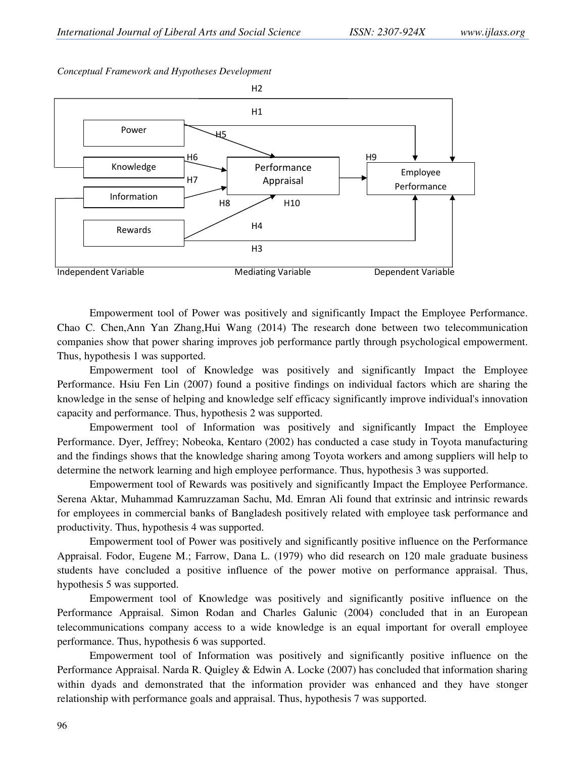*Conceptual Framework and Hypotheses Development* 



Empowerment tool of Power was positively and significantly Impact the Employee Performance. Chao C. Chen,Ann Yan Zhang,Hui Wang (2014) The research done between two telecommunication companies show that power sharing improves job performance partly through psychological empowerment. Thus, hypothesis 1 was supported.

Empowerment tool of Knowledge was positively and significantly Impact the Employee Performance. Hsiu Fen Lin (2007) found a positive findings on individual factors which are sharing the knowledge in the sense of helping and knowledge self efficacy significantly improve individual's innovation capacity and performance. Thus, hypothesis 2 was supported.

Empowerment tool of Information was positively and significantly Impact the Employee Performance. Dyer, Jeffrey; Nobeoka, Kentaro (2002) has conducted a case study in Toyota manufacturing and the findings shows that the knowledge sharing among Toyota workers and among suppliers will help to determine the network learning and high employee performance. Thus, hypothesis 3 was supported.

Empowerment tool of Rewards was positively and significantly Impact the Employee Performance. Serena Aktar, Muhammad Kamruzzaman Sachu, Md. Emran Ali found that extrinsic and intrinsic rewards for employees in commercial banks of Bangladesh positively related with employee task performance and productivity. Thus, hypothesis 4 was supported.

Empowerment tool of Power was positively and significantly positive influence on the Performance Appraisal. Fodor, Eugene M.; Farrow, Dana L. (1979) who did research on 120 male graduate business students have concluded a positive influence of the power motive on performance appraisal. Thus, hypothesis 5 was supported.

Empowerment tool of Knowledge was positively and significantly positive influence on the Performance Appraisal. Simon Rodan and Charles Galunic (2004) concluded that in an European telecommunications company access to a wide knowledge is an equal important for overall employee performance. Thus, hypothesis 6 was supported.

Empowerment tool of Information was positively and significantly positive influence on the Performance Appraisal. Narda R. Quigley & Edwin A. Locke (2007) has concluded that information sharing within dyads and demonstrated that the information provider was enhanced and they have stonger relationship with performance goals and appraisal. Thus, hypothesis 7 was supported.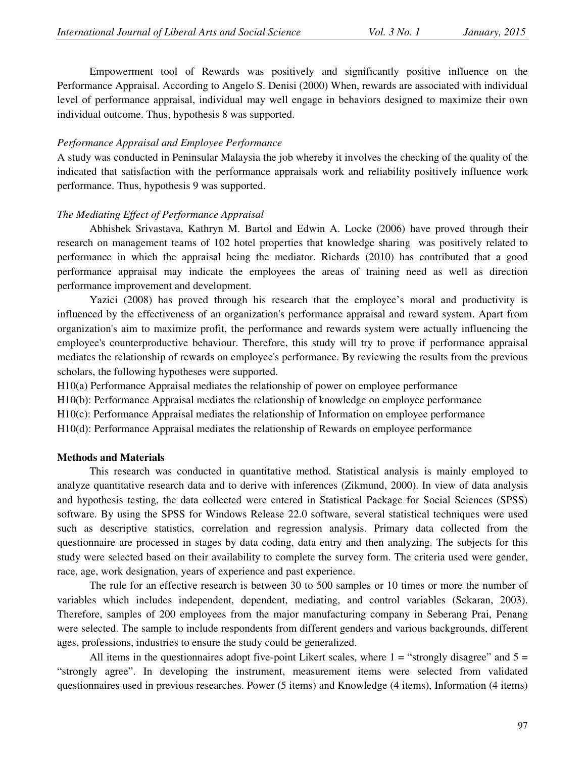Empowerment tool of Rewards was positively and significantly positive influence on the Performance Appraisal. According to Angelo S. Denisi (2000) When, rewards are associated with individual level of performance appraisal, individual may well engage in behaviors designed to maximize their own individual outcome. Thus, hypothesis 8 was supported.

#### *Performance Appraisal and Employee Performance*

A study was conducted in Peninsular Malaysia the job whereby it involves the checking of the quality of the indicated that satisfaction with the performance appraisals work and reliability positively influence work performance. Thus, hypothesis 9 was supported.

#### *The Mediating Effect of Performance Appraisal*

Abhishek Srivastava, Kathryn M. Bartol and Edwin A. Locke (2006) have proved through their research on management teams of 102 hotel properties that knowledge sharing was positively related to performance in which the appraisal being the mediator. Richards (2010) has contributed that a good performance appraisal may indicate the employees the areas of training need as well as direction performance improvement and development.

Yazici (2008) has proved through his research that the employee's moral and productivity is influenced by the effectiveness of an organization's performance appraisal and reward system. Apart from organization's aim to maximize profit, the performance and rewards system were actually influencing the employee's counterproductive behaviour. Therefore, this study will try to prove if performance appraisal mediates the relationship of rewards on employee's performance. By reviewing the results from the previous scholars, the following hypotheses were supported.

H10(a) Performance Appraisal mediates the relationship of power on employee performance

H10(b): Performance Appraisal mediates the relationship of knowledge on employee performance

H10(c): Performance Appraisal mediates the relationship of Information on employee performance

H10(d): Performance Appraisal mediates the relationship of Rewards on employee performance

#### **Methods and Materials**

This research was conducted in quantitative method. Statistical analysis is mainly employed to analyze quantitative research data and to derive with inferences (Zikmund, 2000). In view of data analysis and hypothesis testing, the data collected were entered in Statistical Package for Social Sciences (SPSS) software. By using the SPSS for Windows Release 22.0 software, several statistical techniques were used such as descriptive statistics, correlation and regression analysis. Primary data collected from the questionnaire are processed in stages by data coding, data entry and then analyzing. The subjects for this study were selected based on their availability to complete the survey form. The criteria used were gender, race, age, work designation, years of experience and past experience.

The rule for an effective research is between 30 to 500 samples or 10 times or more the number of variables which includes independent, dependent, mediating, and control variables (Sekaran, 2003). Therefore, samples of 200 employees from the major manufacturing company in Seberang Prai, Penang were selected. The sample to include respondents from different genders and various backgrounds, different ages, professions, industries to ensure the study could be generalized.

All items in the questionnaires adopt five-point Likert scales, where  $1 =$  "strongly disagree" and  $5 =$ "strongly agree". In developing the instrument, measurement items were selected from validated questionnaires used in previous researches. Power (5 items) and Knowledge (4 items), Information (4 items)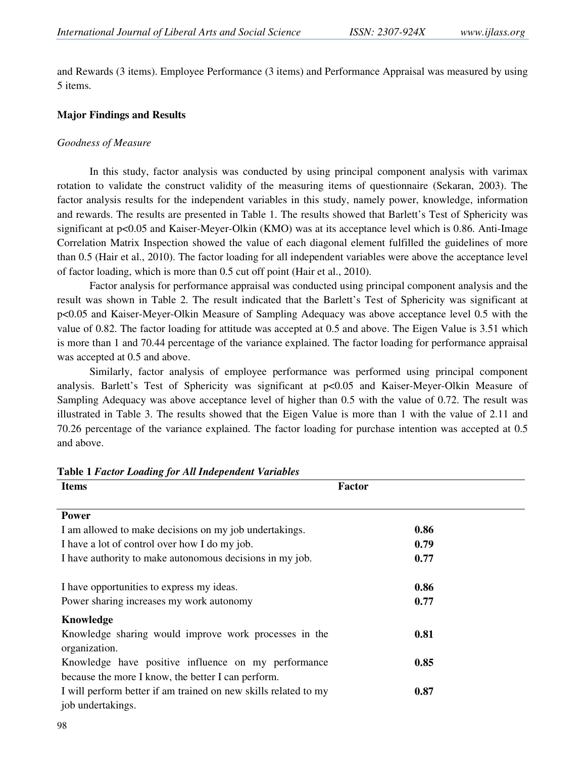and Rewards (3 items). Employee Performance (3 items) and Performance Appraisal was measured by using 5 items.

#### **Major Findings and Results**

#### *Goodness of Measure*

In this study, factor analysis was conducted by using principal component analysis with varimax rotation to validate the construct validity of the measuring items of questionnaire (Sekaran, 2003). The factor analysis results for the independent variables in this study, namely power, knowledge, information and rewards. The results are presented in Table 1. The results showed that Barlett's Test of Sphericity was significant at p<0.05 and Kaiser-Meyer-Olkin (KMO) was at its acceptance level which is 0.86. Anti-Image Correlation Matrix Inspection showed the value of each diagonal element fulfilled the guidelines of more than 0.5 (Hair et al., 2010). The factor loading for all independent variables were above the acceptance level of factor loading, which is more than 0.5 cut off point (Hair et al., 2010).

 Factor analysis for performance appraisal was conducted using principal component analysis and the result was shown in Table 2. The result indicated that the Barlett's Test of Sphericity was significant at p<0.05 and Kaiser-Meyer-Olkin Measure of Sampling Adequacy was above acceptance level 0.5 with the value of 0.82. The factor loading for attitude was accepted at 0.5 and above. The Eigen Value is 3.51 which is more than 1 and 70.44 percentage of the variance explained. The factor loading for performance appraisal was accepted at 0.5 and above.

 Similarly, factor analysis of employee performance was performed using principal component analysis. Barlett's Test of Sphericity was significant at p<0.05 and Kaiser-Meyer-Olkin Measure of Sampling Adequacy was above acceptance level of higher than 0.5 with the value of 0.72. The result was illustrated in Table 3. The results showed that the Eigen Value is more than 1 with the value of 2.11 and 70.26 percentage of the variance explained. The factor loading for purchase intention was accepted at 0.5 and above.

| <b>Items</b>                                                    | <b>Factor</b> |  |  |  |
|-----------------------------------------------------------------|---------------|--|--|--|
|                                                                 |               |  |  |  |
| <b>Power</b>                                                    |               |  |  |  |
| I am allowed to make decisions on my job undertakings.          | 0.86          |  |  |  |
| I have a lot of control over how I do my job.                   | 0.79          |  |  |  |
| I have authority to make autonomous decisions in my job.        | 0.77          |  |  |  |
|                                                                 |               |  |  |  |
| I have opportunities to express my ideas.                       | 0.86          |  |  |  |
| Power sharing increases my work autonomy                        | 0.77          |  |  |  |
| Knowledge                                                       |               |  |  |  |
| Knowledge sharing would improve work processes in the           | 0.81          |  |  |  |
| organization.                                                   |               |  |  |  |
| Knowledge have positive influence on my performance             | 0.85          |  |  |  |
| because the more I know, the better I can perform.              |               |  |  |  |
| I will perform better if am trained on new skills related to my | 0.87          |  |  |  |
| job undertakings.                                               |               |  |  |  |

**Table 1** *Factor Loading for All Independent Variables*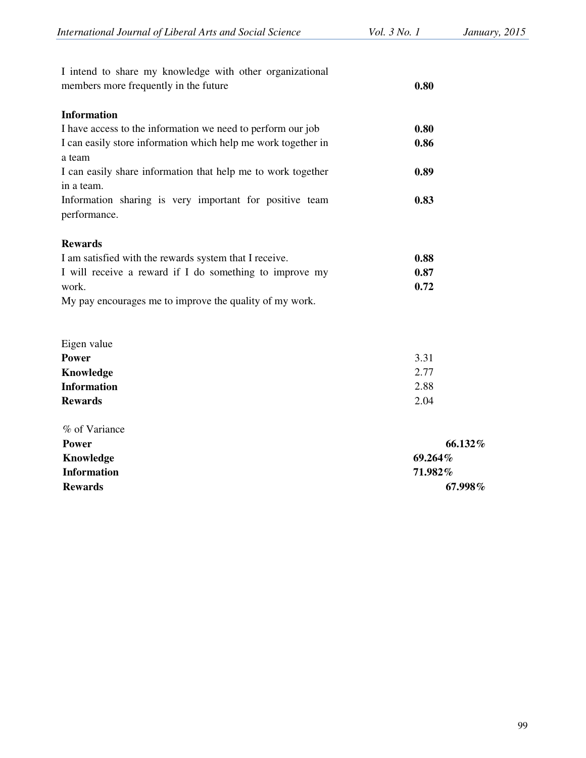| I intend to share my knowledge with other organizational                   |      |  |  |
|----------------------------------------------------------------------------|------|--|--|
| members more frequently in the future                                      | 0.80 |  |  |
| <b>Information</b>                                                         |      |  |  |
| I have access to the information we need to perform our job                | 0.80 |  |  |
| I can easily store information which help me work together in<br>a team    | 0.86 |  |  |
| I can easily share information that help me to work together<br>in a team. | 0.89 |  |  |
| Information sharing is very important for positive team<br>performance.    | 0.83 |  |  |
| <b>Rewards</b>                                                             |      |  |  |
| I am satisfied with the rewards system that I receive.                     | 0.88 |  |  |
| I will receive a reward if I do something to improve my                    | 0.87 |  |  |
| work.                                                                      | 0.72 |  |  |
| My pay encourages me to improve the quality of my work.                    |      |  |  |
| Eigen value                                                                |      |  |  |
| <b>Power</b>                                                               | 3.31 |  |  |
| Knowledge                                                                  | 2.77 |  |  |
| <b>Information</b>                                                         | 2.88 |  |  |
| <b>Rewards</b>                                                             | 2.04 |  |  |

| % of Variance      |         |
|--------------------|---------|
| <b>Power</b>       | 66.132% |
| Knowledge          | 69.264% |
| <b>Information</b> | 71.982% |
| <b>Rewards</b>     | 67.998% |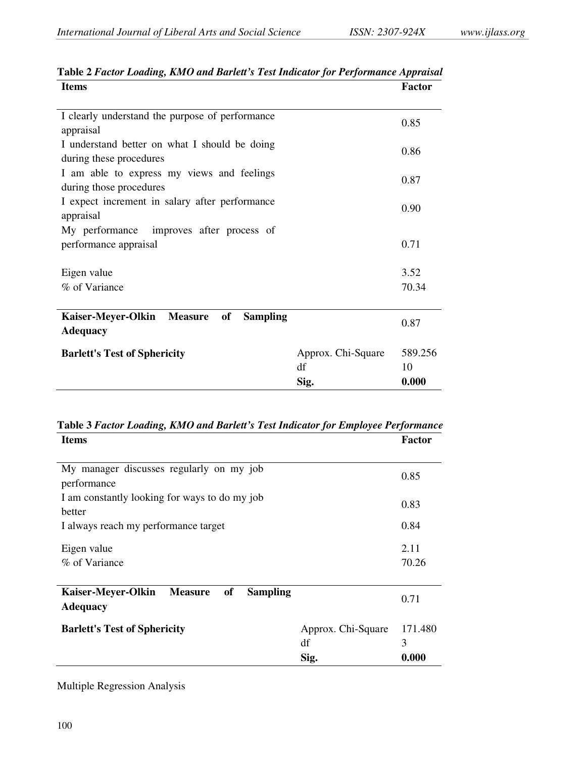| <b>Items</b>                                                             |                                  | <b>Factor</b>          |
|--------------------------------------------------------------------------|----------------------------------|------------------------|
| I clearly understand the purpose of performance<br>appraisal             |                                  | 0.85                   |
| I understand better on what I should be doing<br>during these procedures |                                  | 0.86                   |
| I am able to express my views and feelings<br>during those procedures    |                                  | 0.87                   |
| I expect increment in salary after performance<br>appraisal              |                                  | 0.90                   |
| improves after process of<br>My performance<br>performance appraisal     |                                  | 0.71                   |
| Eigen value                                                              |                                  | 3.52                   |
| % of Variance                                                            |                                  | 70.34                  |
|                                                                          |                                  |                        |
| Kaiser-Meyer-Olkin Measure<br>of<br><b>Sampling</b><br><b>Adequacy</b>   |                                  | 0.87                   |
| <b>Barlett's Test of Sphericity</b>                                      | Approx. Chi-Square<br>df<br>Sig. | 589.256<br>10<br>0.000 |

# **Table 2** *Factor Loading, KMO and Barlett's Test Indicator for Performance Appraisal*

| Table 3 Factor Loading, KMO and Barlett's Test Indicator for Employee Performance |               |
|-----------------------------------------------------------------------------------|---------------|
| <b>Items</b>                                                                      | <b>Factor</b> |

| My manager discusses regularly on my job                                         |                    |         |  |  |  |
|----------------------------------------------------------------------------------|--------------------|---------|--|--|--|
| performance                                                                      |                    | 0.85    |  |  |  |
| I am constantly looking for ways to do my job                                    |                    | 0.83    |  |  |  |
| hetter                                                                           |                    |         |  |  |  |
| I always reach my performance target                                             |                    | 0.84    |  |  |  |
| Eigen value                                                                      |                    | 2.11    |  |  |  |
| % of Variance                                                                    |                    | 70.26   |  |  |  |
|                                                                                  |                    |         |  |  |  |
| of<br>Kaiser-Meyer-Olkin<br><b>Measure</b><br><b>Sampling</b><br><b>Adequacy</b> |                    | 0.71    |  |  |  |
|                                                                                  |                    |         |  |  |  |
| <b>Barlett's Test of Sphericity</b>                                              | Approx. Chi-Square | 171.480 |  |  |  |
|                                                                                  | df                 | 3       |  |  |  |
|                                                                                  | Sig.               | 0.000   |  |  |  |

Multiple Regression Analysis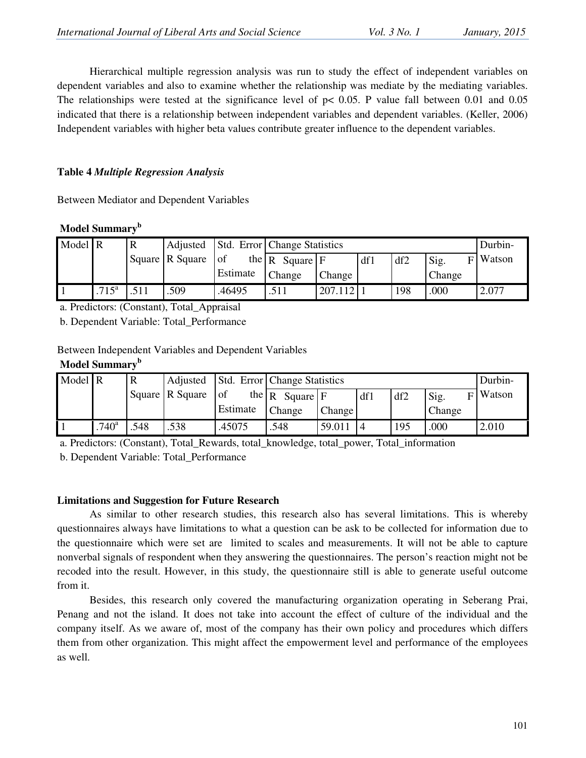Hierarchical multiple regression analysis was run to study the effect of independent variables on dependent variables and also to examine whether the relationship was mediate by the mediating variables. The relationships were tested at the significance level of  $p < 0.05$ . P value fall between 0.01 and 0.05 indicated that there is a relationship between independent variables and dependent variables. (Keller, 2006) Independent variables with higher beta values contribute greater influence to the dependent variables.

# **Table 4** *Multiple Regression Analysis*

Between Mediator and Dependent Variables

|  | Model Summary <sup>b</sup> |
|--|----------------------------|
|--|----------------------------|

| Model R |                     | R | Adjusted        |          | Std. Error Change Statistics         |         |     |     | Durbin- |            |
|---------|---------------------|---|-----------------|----------|--------------------------------------|---------|-----|-----|---------|------------|
|         |                     |   | Square R Square | $ $ of   | the $\mathbb{R}$ Square $\mathbb{F}$ |         | df1 | df2 | Sig.    | $F$ Watson |
|         |                     |   |                 | Estimate | <b>Change</b>                        | Change  |     |     | Change  |            |
|         | $.715^{\mathrm{a}}$ |   | .509            | .46495   | .511                                 | 207.112 |     | 198 | .000    | 2.077      |

a. Predictors: (Constant), Total\_Appraisal

b. Dependent Variable: Total\_Performance

Between Independent Variables and Dependent Variables

# **Model Summary<sup>b</sup>**

| Model R |                   | $\mathbf R$ | Adjusted        |                               | Std. Error Change Statistics |               |     |     |        | Durbin-    |
|---------|-------------------|-------------|-----------------|-------------------------------|------------------------------|---------------|-----|-----|--------|------------|
|         |                   |             | Square R Square | $ $ of<br>the $\vert R \vert$ | Square F                     |               | df1 | df2 | Sig.   | $F$ Watson |
|         |                   |             |                 | Estimate                      | Change                       | <b>Change</b> |     |     | Change |            |
|         | .740 <sup>a</sup> | .548        | .538            | .45075                        | .548                         | 59.011        |     | 195 | .000   | 2.010      |

a. Predictors: (Constant), Total\_Rewards, total\_knowledge, total\_power, Total\_information

b. Dependent Variable: Total\_Performance

# **Limitations and Suggestion for Future Research**

As similar to other research studies, this research also has several limitations. This is whereby questionnaires always have limitations to what a question can be ask to be collected for information due to the questionnaire which were set are limited to scales and measurements. It will not be able to capture nonverbal signals of respondent when they answering the questionnaires. The person's reaction might not be recoded into the result. However, in this study, the questionnaire still is able to generate useful outcome from it.

Besides, this research only covered the manufacturing organization operating in Seberang Prai, Penang and not the island. It does not take into account the effect of culture of the individual and the company itself. As we aware of, most of the company has their own policy and procedures which differs them from other organization. This might affect the empowerment level and performance of the employees as well.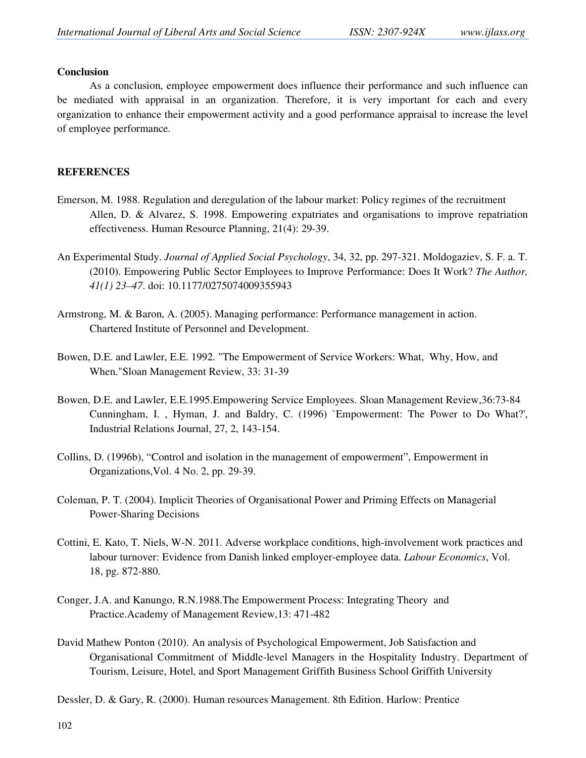### **Conclusion**

As a conclusion, employee empowerment does influence their performance and such influence can be mediated with appraisal in an organization. Therefore, it is very important for each and every organization to enhance their empowerment activity and a good performance appraisal to increase the level of employee performance.

# **REFERENCES**

- Emerson, M. 1988. Regulation and deregulation of the labour market: Policy regimes of the recruitment Allen, D. & Alvarez, S. 1998. Empowering expatriates and organisations to improve repatriation effectiveness. Human Resource Planning, 21(4): 29-39.
- An Experimental Study. *Journal of Applied Social Psychology*, 34, 32, pp. 297-321. Moldogaziev, S. F. a. T. (2010). Empowering Public Sector Employees to Improve Performance: Does It Work? *The Author, 41(1) 23–47*. doi: 10.1177/0275074009355943
- Armstrong, M. & Baron, A. (2005). Managing performance: Performance management in action. Chartered Institute of Personnel and Development.
- Bowen, D.E. and Lawler, E.E. 1992. "The Empowerment of Service Workers: What, Why, How, and When."Sloan Management Review, 33: 31-39
- Bowen, D.E. and Lawler, E.E.1995.Empowering Service Employees. Sloan Management Review,36:73-84 Cunningham, I. , Hyman, J. and Baldry, C. (1996) `Empowerment: The Power to Do What?', Industrial Relations Journal, 27, 2, 143-154.
- Collins, D. (1996b), "Control and isolation in the management of empowerment", Empowerment in Organizations,Vol. 4 No. 2, pp. 29-39.
- Coleman, P. T. (2004). Implicit Theories of Organisational Power and Priming Effects on Managerial Power-Sharing Decisions
- Cottini, E. Kato, T. Niels, W-N. 2011. Adverse workplace conditions, high-involvement work practices and labour turnover: Evidence from Danish linked employer-employee data. *Labour Economics*, Vol. 18, pg. 872-880.
- Conger, J.A. and Kanungo, R.N.1988.The Empowerment Process: Integrating Theory and Practice.Academy of Management Review,13: 471-482
- David Mathew Ponton (2010). An analysis of Psychological Empowerment, Job Satisfaction and Organisational Commitment of Middle-level Managers in the Hospitality Industry. Department of Tourism, Leisure, Hotel, and Sport Management Griffith Business School Griffith University
- Dessler, D. & Gary, R. (2000). Human resources Management. 8th Edition. Harlow: Prentice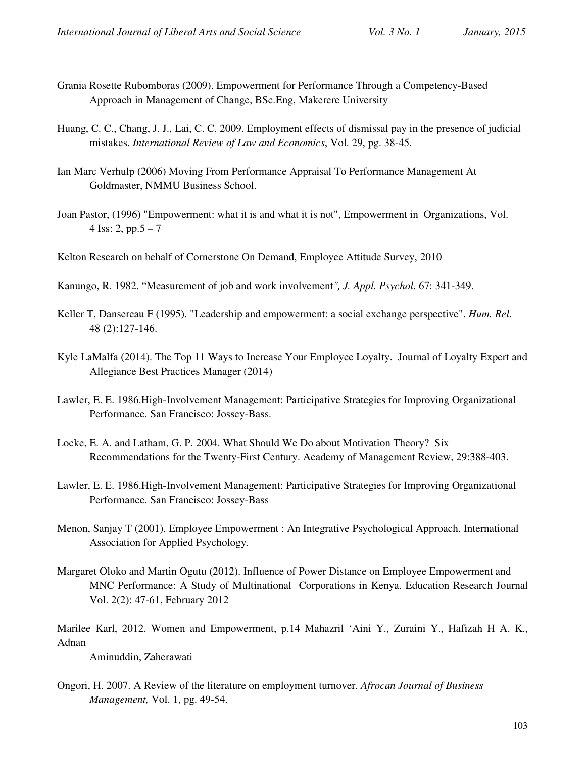- Grania Rosette Rubomboras (2009). Empowerment for Performance Through a Competency-Based Approach in Management of Change, BSc.Eng, Makerere University
- Huang, C. C., Chang, J. J., Lai, C. C. 2009. Employment effects of dismissal pay in the presence of judicial mistakes. *International Review of Law and Economics*, Vol. 29, pg. 38-45.
- Ian Marc Verhulp (2006) Moving From Performance Appraisal To Performance Management At Goldmaster, NMMU Business School.
- Joan Pastor, (1996) "Empowerment: what it is and what it is not", Empowerment in Organizations, Vol. 4 Iss: 2, pp. $5 - 7$
- Kelton Research on behalf of Cornerstone On Demand, Employee Attitude Survey, 2010
- Kanungo, R. 1982. "Measurement of job and work involvement*", J. Appl. Psychol*. 67: 341-349.
- Keller T, Dansereau F (1995). "Leadership and empowerment: a social exchange perspective". *Hum. Rel*. 48 (2):127-146.
- Kyle LaMalfa (2014). The Top 11 Ways to Increase Your Employee Loyalty. Journal of Loyalty Expert and Allegiance Best Practices Manager (2014)
- Lawler, E. E. 1986.High-Involvement Management: Participative Strategies for Improving Organizational Performance. San Francisco: Jossey-Bass.
- Locke, E. A. and Latham, G. P. 2004. What Should We Do about Motivation Theory? Six Recommendations for the Twenty-First Century. Academy of Management Review, 29:388-403.
- Lawler, E. E. 1986.High-Involvement Management: Participative Strategies for Improving Organizational Performance. San Francisco: Jossey-Bass
- Menon, Sanjay T (2001). Employee Empowerment : An Integrative Psychological Approach. International Association for Applied Psychology.
- Margaret Oloko and Martin Ogutu (2012). Influence of Power Distance on Employee Empowerment and MNC Performance: A Study of Multinational Corporations in Kenya. Education Research Journal Vol. 2(2): 47-61, February 2012

Marilee Karl, 2012. Women and Empowerment, p.14 Mahazril 'Aini Y., Zuraini Y., Hafizah H A. K., Adnan

Aminuddin, Zaherawati

Ongori, H. 2007. A Review of the literature on employment turnover. *Afrocan Journal of Business Management,* Vol. 1, pg. 49-54.